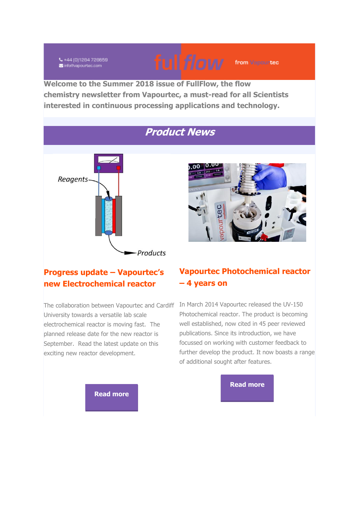₹+44 (0)1284 728659 info@vapourtec.com

**Welcome to the Summer 2018 issue of FullFlow, the flow chemistry newsletter from Vapourtec, a must-read for all Scientists interested in continuous processing applications and technology.**

## **Product News**





from Vapourtec

#### **Progress update – Vapourtec's new Electrochemical reactor**

The collaboration between Vapourtec and Cardiff In March 2014 Vapourtec released the UV-150 University towards a versatile lab scale electrochemical reactor is moving fast. The planned release date for the new reactor is September. Read the latest update on this exciting new reactor development.

#### **Vapourtec Photochemical reactor – 4 years on**

Photochemical reactor. The product is becoming well established, now cited in 45 peer reviewed publications. Since its introduction, we have focussed on working with customer feedback to further develop the product. It now boasts a range of additional sought after features.



**[Read more](https://vapourtec.createsend1.com/t/r-l-jjltulty-l-j/)**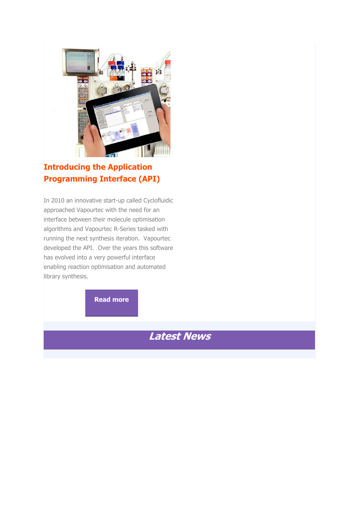

## **Introducing the Application Programming Interface (API)**

In 2010 an innovative start-up called Cyclofluidic approached Vapourtec with the need for an interface between their molecule optimisation algorithms and Vapourtec R-Series tasked with running the next synthesis iteration. Vapourtec developed the API. Over the years this software has evolved into a very powerful interface enabling reaction optimisation and automated library synthesis.

**[Read more](https://vapourtec.createsend1.com/t/r-l-jjltulty-l-h/)**

# **Latest News**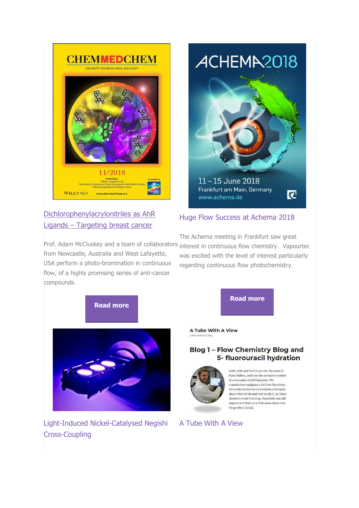

#### [Dichlorophenylacrylonitriles as AhR](https://vapourtec.createsend1.com/t/r-l-jjltulty-l-u/)  Ligands – [Targeting breast cancer](https://vapourtec.createsend1.com/t/r-l-jjltulty-l-u/)



#### Huge Flow Success at Achema 2018

Prof. Adam McCluskey and a team of collaborators interest in continuous flow chemistry. Vapourtec from Newcastle, Australia and West Lafayette, USA perform a photo-bromination in continuous flow, of a highly promising series of anti-cancer compounds.

The Achema meeting in Frankfurt saw great was excited with the level of interest particularly regarding continuous flow photochemistry.



Light-Induced Nickel-Catalysed Negishi Cross-Coupling

**[Read more](https://vapourtec.createsend1.com/t/r-l-jjltulty-l-n/)**

A Tube With A View

#### **Blog 1 - Flow Chemistry Blog and** 5- fluorouracil hydration



Well, hello and how do you do. My name is Puan Skilton, and Lam the research scientist at a company called Vapourtec. We manufacture equipment for flow chemistry. We really wanted to tell everyone a bit more about what we do and how we do it, so I have started to write this blog. Hopefully you will enjoy it and find out a little more about how we go about things.

#### A Tube With A View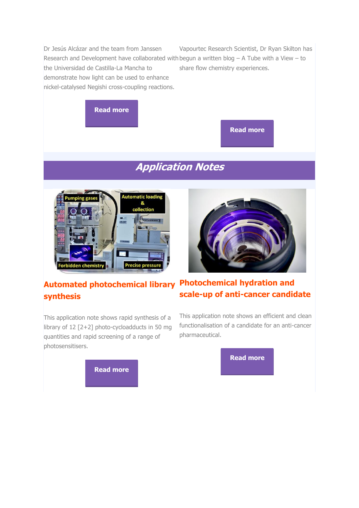Dr Jesús Alcázar and the team from Janssen Research and Development have collaborated with begun a written blog  $- A$  Tube with a View  $-$  to the Universidad de Castilla-La Mancha to demonstrate how light can be used to enhance nickel-catalysed Negishi cross-coupling reactions. Vapourtec Research Scientist, Dr Ryan Skilton has share flow chemistry experiences.



**[Read more](https://vapourtec.createsend1.com/t/r-l-jjltulty-l-c/)**

# **Application Notes**



## **Automated photochemical library Photochemical hydration and synthesis**

This application note shows rapid synthesis of a library of 12 [2+2] photo-cycloadducts in 50 mg quantities and rapid screening of a range of photosensitisers.



# **scale-up of anti-cancer candidate**

This application note shows an efficient and clean functionalisation of a candidate for an anti-cancer pharmaceutical.

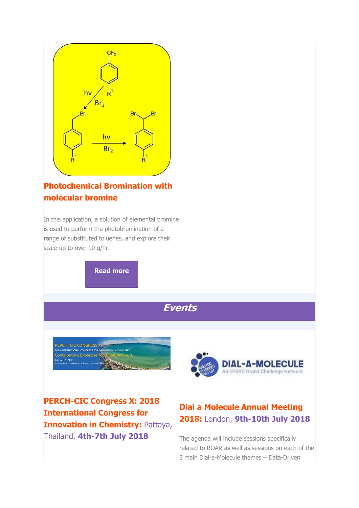

#### **Photochemical Bromination with molecular bromine**

In this application, a solution of elemental bromine is used to perform the photobromination of a range of substituted toluenes, and explore their scale-up to over 10 g/hr.

**[Read more](https://vapourtec.createsend1.com/t/r-l-jjltulty-l-e/)**





**PERCH-CIC Congress X: 2018 International Congress for Innovation in Chemistry: Pattaya,** Thailand, **4th-7th July 2018**



## **Dial a Molecule Annual Meeting 2018:** London, **9th-10th July 2018**

The agenda will include sessions specifically related to ROAR as well as sessions on each of the 3 main Dial-a-Molecule themes – Data-Driven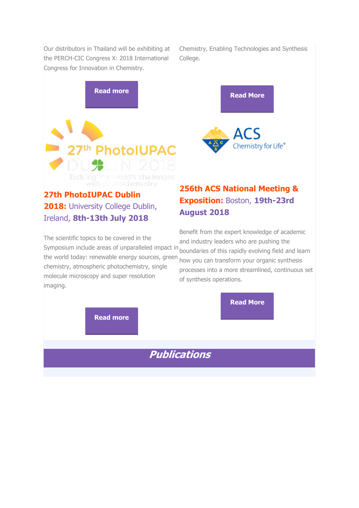Our distributors in Thailand will be exhibiting at the PERCH-CIC Congress X: 2018 International Congress for Innovation in Chemistry.

Chemistry, Enabling Technologies and Synthesis College.



## **27th PhotoIUPAC Dublin 2018:** University College Dublin, Ireland, **8th-13th July 2018**

# **[2](https://vapourtec.createsend1.com/t/r-l-jjltulty-l-yh/)56th ACS National Meeting & Exposition:** Boston, **19th-23rd August 2018**

The scientific topics to be covered in the the world today: renewable energy sources, green chemistry, atmospheric photochemistry, single molecule microscopy and super resolution imaging.

Symposium include areas of unparalleled impact in boundaries of this rapidly evolving field and learn Benefit from the expert knowledge of academic and industry leaders who are pushing the how you can transform your organic synthesis processes into a more streamlined, continuous set of synthesis operations.

**[Read More](https://vapourtec.createsend1.com/t/r-l-jjltulty-l-jl/)**

**[Read more](https://vapourtec.createsend1.com/t/r-l-jjltulty-l-yk/)**

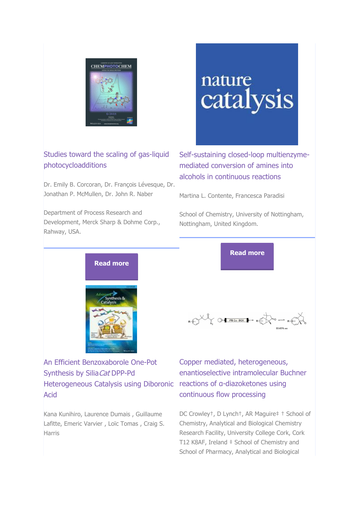

#### Studies toward the scaling of gas-liquid photocycloadditions

Dr. Emily B. Corcoran, Dr. François Lévesque, Dr. Jonathan P. McMullen, Dr. John R. Naber

Department of Process Research and Development, Merck Sharp & Dohme Corp., Rahway, USA.

# nature catalysis

Self-sustaining closed-loop multienzymemediated conversion of amines into alcohols in continuous reactions

Martina L. Contente, Francesca Paradisi

School of Chemistry, University of Nottingham, Nottingham, United Kingdom.



An Efficient Benzoxaborole One‐Pot Synthesis by Silia Cat DPP-Pd Heterogeneous Catalysis using Diboronic reactions of α-diazoketones using Acid

Kana Kunihiro, Laurence Dumais , Guillaume Lafitte, Emeric Varvier , Loïc Tomas , Craig S. Harris

**[Read more](https://vapourtec.createsend1.com/t/r-l-jjltulty-l-jt/)**

 $R + \sum_{k=1}^{n} \sum_{i=1}^{n} \frac{1}{k!} \sum_{i=1}^{n} \frac{1}{k!} \sum_{i=1}^{n} \frac{1}{k!} \sum_{i=1}^{n} \frac{1}{k!} \sum_{i=1}^{n} \frac{1}{k!} \sum_{i=1}^{n} \frac{1}{k!} \sum_{i=1}^{n} \frac{1}{k!} \sum_{i=1}^{n} \frac{1}{k!} \sum_{i=1}^{n} \frac{1}{k!} \sum_{i=1}^{n} \frac{1}{k!} \sum_{i=1}^{n} \frac{1}{k!} \sum_{i=1}^{n}$ 

Copper mediated, heterogeneous, enantioselective intramolecular Buchner continuous flow processing

DC Crowley†, D Lynch†, AR Maguire‡ † School of Chemistry, Analytical and Biological Chemistry Research Facility, University College Cork, Cork T12 K8AF, Ireland ‡ School of Chemistry and School of Pharmacy, Analytical and Biological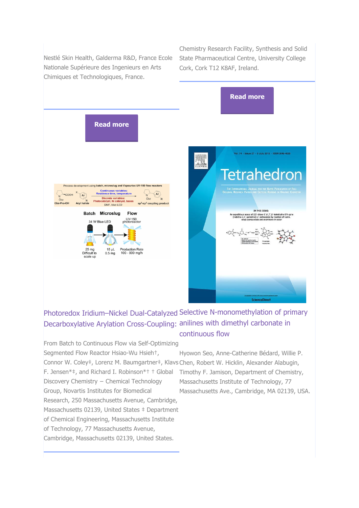Nestlé Skin Health, Galderma R&D, France Ecole Nationale Supérieure des Ingenieurs en Arts Chimiques et Technologiques, France.

Chemistry Research Facility, Synthesis and Solid State Pharmaceutical Centre, University College Cork, Cork T12 K8AF, Ireland.

IN THIS ISSUE:

ess of 2,5'-dioxo-5',6',7',8'-te<br>|uinoline]-3'-carboxylate by re<br>|vanoacetate and enaminone in



## Photoredox Iridium–Nickel Dual-Catalyzed Selective N-monomethylation of primary Decarboxylative Arylation Cross-Coupling: anilines with dimethyl carbonate in continuous flow

From Batch to Continuous Flow via Self-Optimizing Segmented Flow Reactor Hsiao-Wu Hsieh†, Connor W. Coley‡, Lorenz M. Baumgartner‡, Klavs Chen, Robert W. Hicklin, Alexander Alabugin, F. Jensen\*‡, and Richard I. Robinson\*† † Global Discovery Chemistry − Chemical Technology Group, Novartis Institutes for Biomedical Research, 250 Massachusetts Avenue, Cambridge, Massachusetts 02139, United States # Department of Chemical Engineering, Massachusetts Institute of Technology, 77 Massachusetts Avenue, Cambridge, Massachusetts 02139, United States.

Hyowon Seo, Anne-Catherine Bédard, Willie P. Timothy F. Jamison, Department of Chemistry, Massachusetts Institute of Technology, 77 Massachusetts Ave., Cambridge, MA 02139, USA.